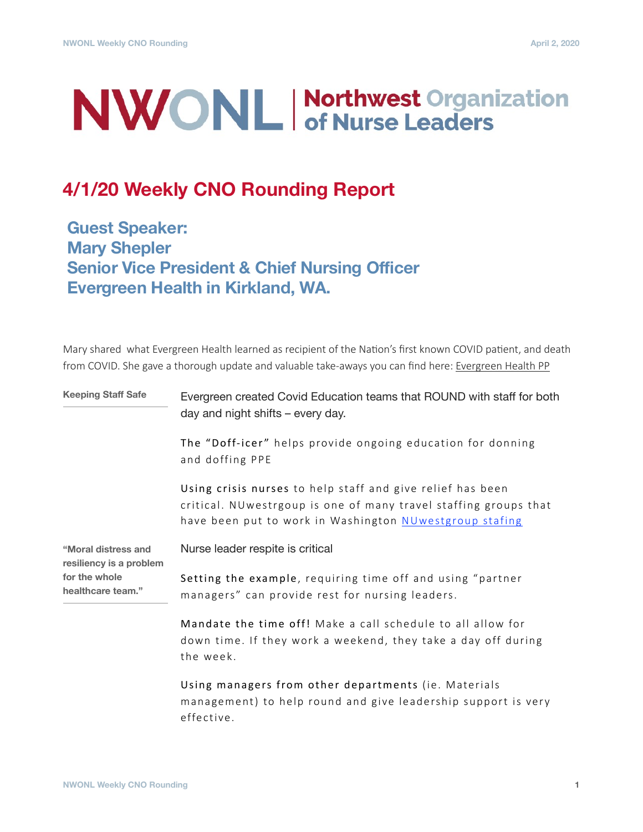# **NWONL Morthwest Organization**

# **4/1/20 Weekly CNO Rounding Report**

**Guest Speaker: Mary Shepler Senior Vice President & Chief Nursing Officer Evergreen Health in Kirkland, WA.**

Mary shared what Evergreen Health learned as recipient of the Nation's first known COVID patient, and death from COVID. She gave a thorough update and valuable take-aways you can find here: [Evergreen Health PP](https://www.nwonl.org/docs/2020-3-12_EvergreenHealth_WSHA_COVID19_V6.pdf)

| <b>Keeping Staff Safe</b>                      | Evergreen created Covid Education teams that ROUND with staff for both<br>day and night shifts – every day.                                                                               |
|------------------------------------------------|-------------------------------------------------------------------------------------------------------------------------------------------------------------------------------------------|
|                                                | The "Doff-icer" helps provide ongoing education for donning<br>and doffing PPE                                                                                                            |
|                                                | Using crisis nurses to help staff and give relief has been<br>critical. NUwestrgoup is one of many travel staffing groups that<br>have been put to work in Washington NUwestgroup stafing |
| "Moral distress and<br>resiliency is a problem | Nurse leader respite is critical                                                                                                                                                          |
| for the whole<br>healthcare team."             | Setting the example, requiring time off and using "partner<br>managers" can provide rest for nursing leaders.                                                                             |
|                                                | Mandate the time off! Make a call schedule to all allow for<br>down time. If they work a weekend, they take a day off during<br>the week.                                                 |
|                                                | Using managers from other departments (ie. Materials<br>management) to help round and give leadership support is very<br>effective.                                                       |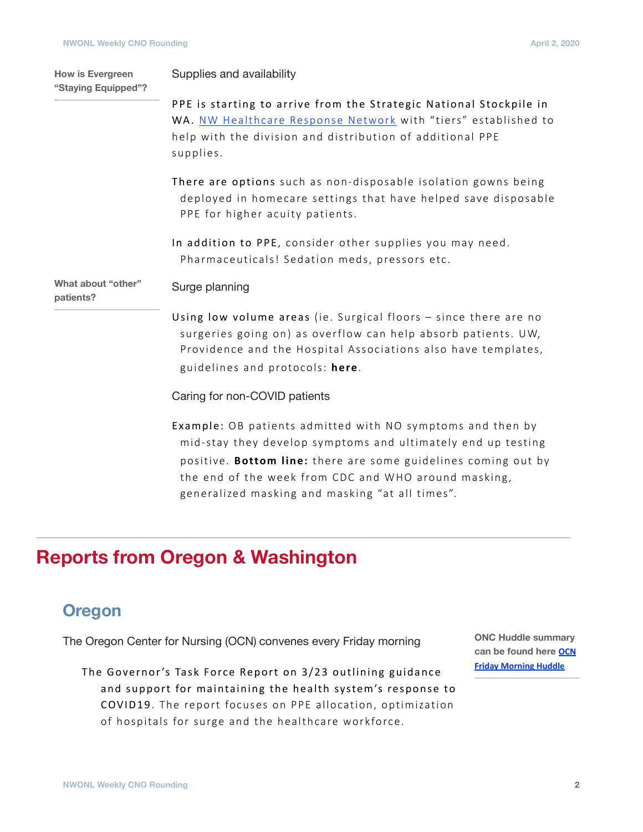**How is Evergreen** 

Supplies and availability

| "Staying Equipped"?             | oappnoo ana avanapmiy                                                                                                                                                                                                                                |
|---------------------------------|------------------------------------------------------------------------------------------------------------------------------------------------------------------------------------------------------------------------------------------------------|
|                                 | PPE is starting to arrive from the Strategic National Stockpile in<br>WA. NW Healthcare Response Network with "tiers" established to<br>help with the division and distribution of additional PPE<br>supplies.                                       |
|                                 | There are options such as non-disposable isolation gowns being<br>deployed in homecare settings that have helped save disposable<br>PPE for higher acuity patients.                                                                                  |
|                                 | In addition to PPE, consider other supplies you may need.<br>Pharmaceuticals! Sedation meds, pressors etc.                                                                                                                                           |
| What about "other"<br>patients? | Surge planning                                                                                                                                                                                                                                       |
|                                 | Using low volume areas (ie. Surgical floors - since there are no<br>surgeries going on) as overflow can help absorb patients. UW,<br>Providence and the Hospital Associations also have templates,<br>guidelines and protocols: here.                |
|                                 | Caring for non-COVID patients                                                                                                                                                                                                                        |
|                                 | Example: OB patients admitted with NO symptoms and then by<br>mid-stay they develop symptoms and ultimately end up testing<br>positive. Bottom line: there are some guidelines coming out by<br>the end of the week from CDC and WHO around masking, |

generalized masking and masking "at all times".

# **Reports from Oregon & Washington**

### **Oregon**

The Oregon Center for Nursing (OCN) convenes every Friday morning

The Governor's Task Force Report on 3/23 outlining guidance and support for maintaining the health system's response to COVID19. The report focuses on PPE allocation, optimization of hospitals for surge and the healthcare workforce.

**ONC Huddle summary [can be found here](https://oregoncenterfornursing.org/wp-content/uploads/2020/03/3.27_OCN_Friday-Huddle_Summary_Final.pdf) OCN Friday Morning Huddle**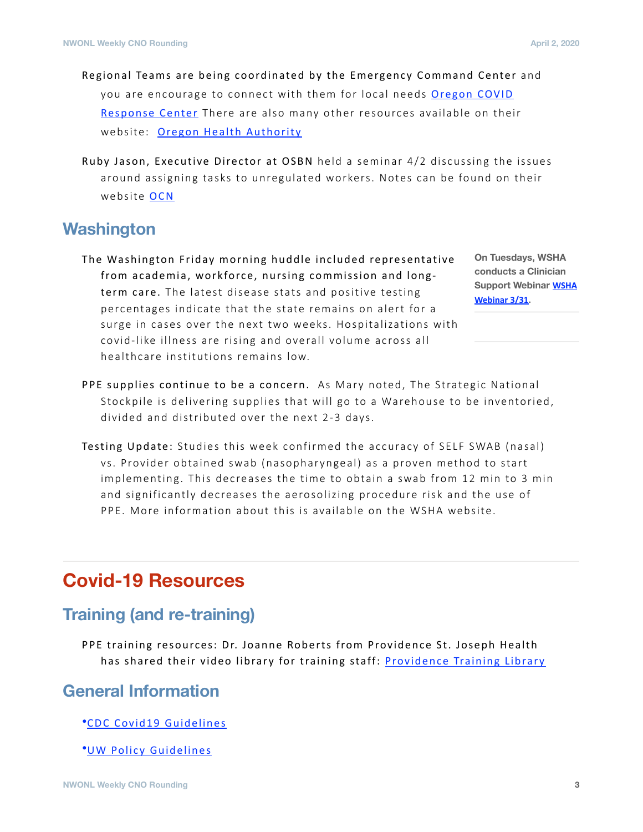- Regional Teams are being coordinated by the Emergency Command Center and you are encourage to connect with them for local needs Oregon COVID Response Center There are also many other resources available on their website: Oregon Health Authority
- Ruby Jason, Executive Director at OSBN held a seminar 4/2 discussing the issues around assigning tasks to unregulated workers. Notes can be found on their website [OCN](https://oregoncenterfornursing.org/)

#### **Washington**

The Washington Friday morning huddle included representative from academia, workforce, nursing commission and longterm care. The latest disease stats and positive testing percentages indicate that the state remains on alert for a surge in cases over the next two weeks. Hospitalizations with covid-like illness are rising and overall volume across all healthcare institutions remains low.

**On Tuesdays, WSHA conducts a Clinician Support Webinar WSHA Webinar 3/31.** 

- PPE supplies continue to be a concern. As Mary noted, The Strategic National Stockpile is delivering supplies that will go to a Warehouse to be inventoried, divided and distributed over the next 2-3 days.
- Testing Update: Studies this week confirmed the accuracy of SELF SWAB (nasal) vs. Provider obtained swab (nasopharyngeal) as a proven method to start implementing. This decreases the time to obtain a swab from 12 min to 3 min and significantly decreases the aerosolizing procedure risk and the use of PPE. More information about this is available on the WSHA website.

# **Covid-19 Resources**

#### **Training (and re-training)**

PPE training resources: Dr. Joanne Roberts from Providence St. Joseph Health has shared their video library for training staff: Providence Training Library

## **General Information**

•[CDC Covid19 Guidelines](https://www.cdc.gov/coronavirus/2019-ncov/index.html)

•[UW Policy Guidelines](https://covid-19)